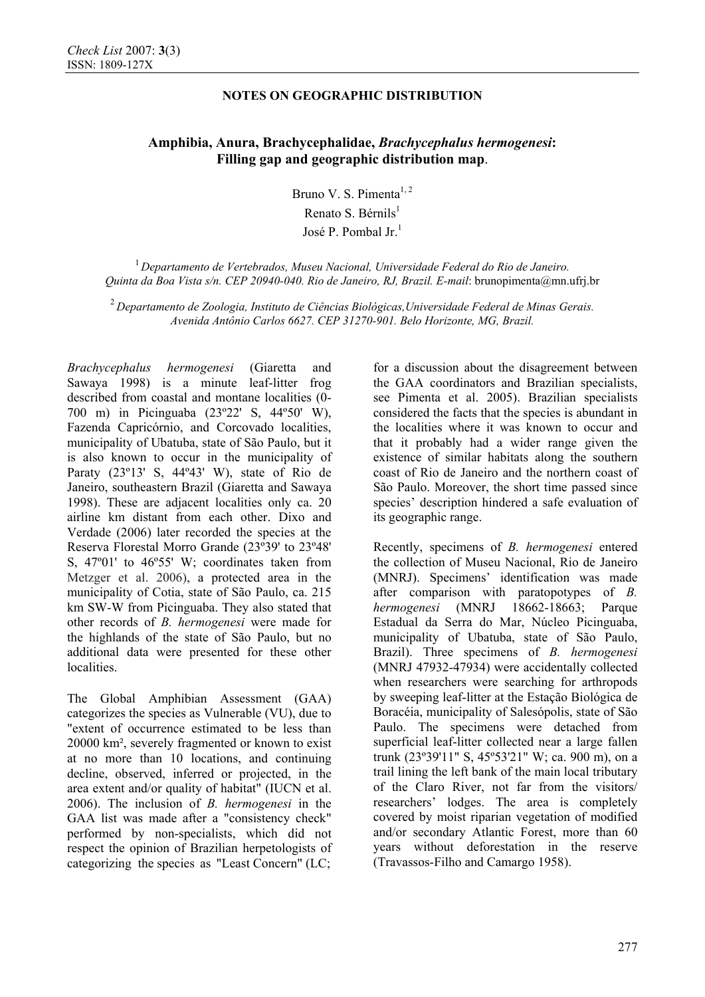## **NOTES ON GEOGRAPHIC DISTRIBUTION**

# **Amphibia, Anura, Brachycephalidae,** *Brachycephalus hermogenesi***: Filling gap and geographic distribution map**.

Bruno V. S. Pimenta $1, 2$ Renato S. Bérnils $<sup>1</sup>$ </sup> José P. Pombal Jr.<sup>1</sup>

<sup>1</sup> *Departamento de Vertebrados, Museu Nacional, Universidade Federal do Rio de Janeiro. Quinta da Boa Vista s/n. CEP 20940-040. Rio de Janeiro, RJ, Brazil. E-mail*: brunopimenta@mn.ufrj.br

<sup>2</sup> *Departamento de Zoologia, Instituto de Ciências Biológicas,Universidade Federal de Minas Gerais. Avenida Antônio Carlos 6627. CEP 31270-901. Belo Horizonte, MG, Brazil.* 

*Brachycephalus hermogenesi* (Giaretta and Sawaya 1998) is a minute leaf-litter frog described from coastal and montane localities (0- 700 m) in Picinguaba (23º22' S, 44º50' W), Fazenda Capricórnio, and Corcovado localities, municipality of Ubatuba, state of São Paulo, but it is also known to occur in the municipality of Paraty (23º13' S, 44º43' W), state of Rio de Janeiro, southeastern Brazil (Giaretta and Sawaya 1998). These are adjacent localities only ca. 20 airline km distant from each other. Dixo and Verdade (2006) later recorded the species at the Reserva Florestal Morro Grande (23º39' to 23º48' S, 47º01' to 46º55' W; coordinates taken from Metzger et al. 2006), a protected area in the municipality of Cotia, state of São Paulo, ca. 215 km SW-W from Picinguaba. They also stated that other records of *B. hermogenesi* were made for the highlands of the state of São Paulo, but no additional data were presented for these other localities.

The Global Amphibian Assessment (GAA) categorizes the species as Vulnerable (VU), due to "extent of occurrence estimated to be less than 20000 km², severely fragmented or known to exist at no more than 10 locations, and continuing decline, observed, inferred or projected, in the area extent and/or quality of habitat" (IUCN et al. 2006). The inclusion of *B. hermogenesi* in the GAA list was made after a "consistency check" performed by non-specialists, which did not respect the opinion of Brazilian herpetologists of categorizing the species as "Least Concern" (LC;

for a discussion about the disagreement between the GAA coordinators and Brazilian specialists, see Pimenta et al. 2005). Brazilian specialists considered the facts that the species is abundant in the localities where it was known to occur and that it probably had a wider range given the existence of similar habitats along the southern coast of Rio de Janeiro and the northern coast of São Paulo. Moreover, the short time passed since species' description hindered a safe evaluation of its geographic range.

Recently, specimens of *B. hermogenesi* entered the collection of Museu Nacional, Rio de Janeiro (MNRJ). Specimens' identification was made after comparison with paratopotypes of *B. hermogenesi* (MNRJ 18662-18663; Parque Estadual da Serra do Mar, Núcleo Picinguaba, municipality of Ubatuba, state of São Paulo, Brazil). Three specimens of *B. hermogenesi* (MNRJ 47932-47934) were accidentally collected when researchers were searching for arthropods by sweeping leaf-litter at the Estação Biológica de Boracéia, municipality of Salesópolis, state of São Paulo. The specimens were detached from superficial leaf-litter collected near a large fallen trunk (23º39'11" S, 45º53'21" W; ca. 900 m), on a trail lining the left bank of the main local tributary of the Claro River, not far from the visitors/ researchers' lodges. The area is completely covered by moist riparian vegetation of modified and/or secondary Atlantic Forest, more than 60 years without deforestation in the reserve (Travassos-Filho and Camargo 1958).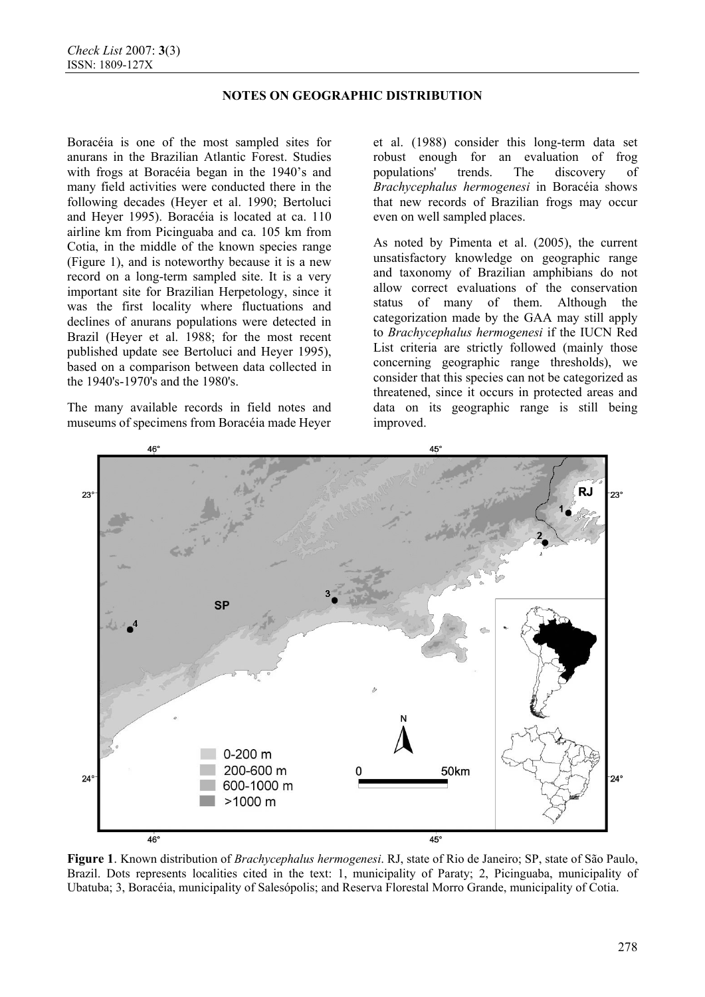## **NOTES ON GEOGRAPHIC DISTRIBUTION**

Boracéia is one of the most sampled sites for anurans in the Brazilian Atlantic Forest. Studies with frogs at Boracéia began in the 1940's and many field activities were conducted there in the following decades (Heyer et al. 1990; Bertoluci and Heyer 1995). Boracéia is located at ca. 110 airline km from Picinguaba and ca. 105 km from Cotia, in the middle of the known species range (Figure 1), and is noteworthy because it is a new record on a long-term sampled site. It is a very important site for Brazilian Herpetology, since it was the first locality where fluctuations and declines of anurans populations were detected in Brazil (Heyer et al. 1988; for the most recent published update see Bertoluci and Heyer 1995), based on a comparison between data collected in the 1940's-1970's and the 1980's.

The many available records in field notes and museums of specimens from Boracéia made Heyer

et al. (1988) consider this long-term data set robust enough for an evaluation of frog populations' trends. The discovery of *Brachycephalus hermogenesi* in Boracéia shows that new records of Brazilian frogs may occur even on well sampled places.

As noted by Pimenta et al. (2005), the current unsatisfactory knowledge on geographic range and taxonomy of Brazilian amphibians do not allow correct evaluations of the conservation status of many of them. Although the categorization made by the GAA may still apply to *Brachycephalus hermogenesi* if the IUCN Red List criteria are strictly followed (mainly those concerning geographic range thresholds), we consider that this species can not be categorized as threatened, since it occurs in protected areas and data on its geographic range is still being improved.



**Figure 1**. Known distribution of *Brachycephalus hermogenesi*. RJ, state of Rio de Janeiro; SP, state of São Paulo, Brazil. Dots represents localities cited in the text: 1, municipality of Paraty; 2, Picinguaba, municipality of Ubatuba; 3, Boracéia, municipality of Salesópolis; and Reserva Florestal Morro Grande, municipality of Cotia.